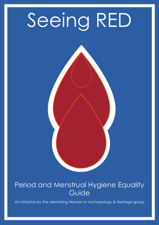# Seeing RED

#### Period and Menstrual Hygiene Equality Guide

An initiative by the Mentoring Women in Archaeology & Heritage group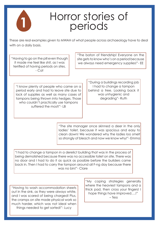

### Horror stories of periods

These are real examples given to MWAH of what people across archaeology have to deal with on a daily basis.

"Having to go on the pill even though it made me feel like shit, as I was terrified of having periods on sites. - Cat

"The baton of friendship! Everyone on the site gets to know who's on a period because we always need emergency supplies!"- EE

"I know plenty of people who came on a period early and had to leave site due to lack of supplies as well as many cases of tampons being thrown into hedges. Those who couldn't practically use tampons suffered the most!"- LB

"During a buildings recording job I had to change a tampon behind a tree. Looking back it was unhygienic and degrading"- Ruth

"The site manager once skinned a deer in the only ladies' toilet, because it was spacious and easy to clean down! We wondered why the ladies loo smelt so strongly of bleach and now we know why!"- Emma

"I had to change a tampon in a derelict building that was in the process of being demolished because there was no accessible toilet on site. There was no door and I had to do it as quick as possible before the builders came back in. Then I had to carry the tampon around all F-ng day because there was no bin!"- Clare

"Having to wash accommodation sheets out in the sink, as they were always white, and I was scared of being charged! Plus, the cramps on site made physical work so much harder, which was not ideal when things needed to get sorted!"- Lucy

"My coping strategies generally where the heaviest tampons and a thick pad, then cross your fingers! I hope things have improved….!" – Tess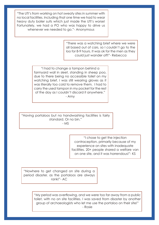"The UTI's from working on hot sweaty sites in summer with no local facilities. Including that one time we had to wear heavy duty boiler suits which just made the UTI's worse! Fortunately, we had a PO who was happy to drive us whenever we needed to go."- Anonymous

> "There was a watching brief where we were all based out of cars, so I couldn't go to the loo for 8-9 hours. It was ok for the men as they could just wander off!"- Rebecca

"I had to change a tampon behind a farmyard wall in sleet, standing in sheep poo, due to there being no accessible toilet on my watching brief. I was still wearing gloves as it was literally too cold to remove them. I had to carry the used tampon in my pocket for the rest of the day as I couldn't discard it anywhere." - Amy

"Having portaloos but no handwashing facilities is fairly standard. Or no bin." - MS

> "I chose to get the injection contraception, primarily because of my experience on sites with inadequate facilities. 20+ people shared a welfare van on one site, and it was horrendous!"- KS

"Nowhere to get changed on site during a period disaster, as the portaloos are always rank!"- AC

> "My period was overflowing, and we were too far away from a public toilet, with no on site facilities. I was saved from disaster by another group of archaeologists who let me use the portaloo on their site!" - Rosie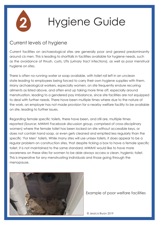

# Hygiene Guide

#### Current levels of hygiene

Current facilities on archaeological sites are generally poor and geared predominantly around cis men. This is leading to shortfalls in facilities available for hygiene needs, such as the avoidance of thrush, cysts, UTIs (urinary tract infections), as well as poor menstrual hygiene on sites.

There is often no running water or soap available, with toilet roll left in an unclean state leading to employees being forced to carry their own hygiene supplies with them. Many archaeological workers, especially women, on site frequently endure recurring ailments as listed above, and often end up taking more time off, especially around menstruation, leading to a gendered pay imbalance, since site facilities are not equipped to deal with further needs. There have been multiple times where due to the nature of the work, an employer has not made provision for a nearby welfare facility to be available on site, leading to further issues.

Regarding female specific toilets, there have been, and still are, multiple times reported (Source: MWAH! Facebook discussion group, comprised of cross-disciplinary women) where the female toilet has been locked on site without accessible keys, or does not contain hand soap, or even gets cleaned and emptied less regularly than the specific 'For Men' toilets. While many sites will use unisex toilets, it does appear to be a regular problem on construction sites, that despite ticking a box to have a female specific toilet, it is not maintained to the same standard. MWAH! would like to have more awareness on these sites for women to be able always access a clean, hygienic toilet. This is imperative for any menstruating individuals and those going through the menopause.



Example of poor welfare facilities

© Jessica Bryan 2019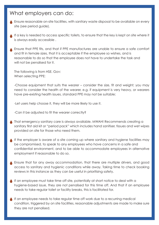#### What employers can do:

Ensure reasonable on-site facilities, with sanitary waste disposal to be available on every site (see period guide).

If a key is needed to access specific toilets, to ensure that the key is kept on site where it is always easily accessible .

Ensure that PPE fits, and that if PPE manufactures are unable to ensure a safe comfort and fit in female sizes, that it is acceptable if the employee so wishes, and is reasonable to do so that the employee does not have to undertake the task and will not be penalised for it.

The following is from HSE. Gov: When selecting PPE:

-Choose equipment that suits the wearer – consider the size, fit and weight; you may need to consider the health of the wearer, e.g. if equipment is very heavy, or wearers have pre-existing health issues, standard PPE may not be suitable;

-Let users help choose it, they will be more likely to use it.

-Can it be adjusted to fit the wearer correctly?

- That emergency sanitary care is always available. MWAH! Recommends creating a sanitary first aid kit or "period pack" which includes hand sanitiser, tissues and wet wipes provided on site for those who need them.
- If the employer is aware of a site coming up where sanitary and hygiene facilities may be compromised, to speak to any employees who have concerns in a safe and confidential environment, and to be able to accommodate employees in alternative employment if reasonable to do so.
- Ensure that for any away accommodation, that there are multiple drivers, and good access to sanitary and hygienic conditions while away. Taking time to check booking reviews in this instance as they can be useful in prioritising safety.
- If an employee must take time off site, potentially at short notice to deal with a hygiene-based issue, they are not penalised for this time off. And that if an employee needs to take regular toilet or facility breaks, this is facilitated for.
- If an employee needs to take regular time off work due to a recurring medical condition, triggered by on site facilities, reasonable adjustments are made to make sure they are not penalised.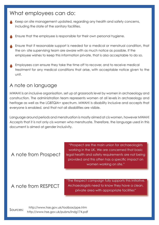#### What employees can do:

Keep on site management updated, regarding any health and safety concerns, including the state of the sanitary facilities.

Ensure that the employee is responsible for their own personal hygiene.

- Ensure that if reasonable support is needed for a medical or menstrual condition, that the on- site supervising team are aware with as much notice as possible. If the employee wishes to keep this information private, that is also acceptable to do so.
- Employees can ensure they take the time off to recover, and to receive medical treatment for any medical conditions that arise, with acceptable notice given to the unit.

#### A note on language

MWAH! Is an inclusive organisation, set up at grassroots level by women in archaeology and construction. The administration team represents women at all levels in archaeology and heritage as well as the LGBTQIA+ spectrum. MWAH! Is disability inclusive and accepts that everyone is enabled, and that not all disabilities are visible.

Language around periods and menstruation is mostly aimed at cis women, however MWAH! Accepts that it is not only cis women who menstruate. Therefore, the language used in this document is aimed at gender inclusivity.

#### A note from Prospect

"Prospect are the main union for archaeologists working in the UK. We are concerned that basic legal health and safety requirements are not being provided and this often has a specific impact on women working on site."

#### A note from RESPECT

"The Respect campaign fully supports this initiative. Archaeologists need to know they have a clean, private area with appropriate facilities"

http://www.hse.gov.uk/pubns/indg174.pdf http://www.hse.gov.uk/toolbox/ppe.htm Sources: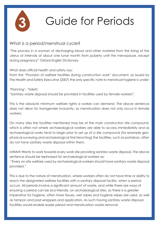

# Guide for Periods

#### What is a period/menstrual cycle?

"The process in a woman of discharging blood and other material from the lining of the uterus at intervals of about one lunar month from puberty until the menopause, except during pregnancy" Oxford English Dictionary

What does official health and safety say:

From the "Provision of welfare facilities during construction work" document, as issued by The Health and Safety Executive (2007) the only specific note to menstrual hygiene is under:

'Planning'- 'Toilets' "Sanitary waste disposal should be provided in facilities used by female workers".

This is the absolute minimum welfare rights a worker can demand. The above sentence does not allow for transgender inclusivity, as menstruation does not only occur in female workers.

On many sites the facilities mentioned may be at the main construction site compound, which is often not where archaeological workers are able to access immediately and as archaeological works tend to begin prior to set up of a site compound (for example geophysical surveying and archaeological trial trenching) the facilities, such as portaloos, often do not have sanitary waste disposal within them.

MWAH! Wants to work towards every work site providing sanitary waste disposal. The above sentence should be rephrased for archaeological workers as:

 "Every on-site welfare used by archaeological workers should have sanitary waste disposal provided."

This is due to the nature of menstruation, where workers often do not have time or ability to reach the designated welfare facilities with a sanitary disposal facility, when a period occurs. All periods involve a significant amount of waste, and while there are ways of ensuring a period can be eco-friendly, on archaeological sites, as there is a greater imperative for hygiene, often more tissues, wet wipes and hygiene wipes are used, as well as tampon and pad wrappers and applicators. As such having sanitary waste disposal facilities would enable easier period and menstruation waste removal.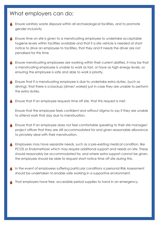#### What employers can do:

- Ensure sanitary waste disposal within all archaeological facilities, and to promote gender inclusivity
- Ensure time on site is given to a menstruating employee to undertake acceptable hygiene levels within facilities available and that if a site vehicle is needed at short notice to drive an employee to facilities, that they and if needs the driver are not penalised for this time.
- Ensure menstruating employees are working within their current abilities. It may be that a menstruating employee is unable to work as fast, or have as high energy levels, so ensuring the employee is safe and able to work is priority.
- Ensure that if a menstruating employee is due to undertake extra duties, (such as driving), that there is a backup (driver/ worker) just in case they are unable to perform the extra duties.
- Ensure that if an employee requests time off site, that this request is met.

Ensure that the employee feels confident and without stigma to say if they are unable to attend work that day due to menstruation.

- Ensure that if an employee does not feel comfortable speaking to their site manager/ project officer that they are still accommodated for and given reasonable allowance to privately deal with their menstruation.
- Employees may have separate needs, such as a pre-existing medical condition, like PCOS or Endometriosis which may require additional support and needs on site. These should reasonably be accommodated for, and where extra support cannot be given, the employee should be able to request short notice time off site during this.
- In the event of employees suffering particular conditions a personal Risk Assessment should be undertaken to enable safe working in a supportive environment.
- That employers have free, accessible period supplies to hand in an emergency.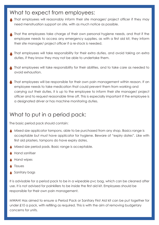#### What to expect from employees:

- That employees will reasonably inform their site manager/ project officer if they may need menstruation support on site, with as much notice as possible.
- That the employees take charge of their own personal hygiene needs, and that if the employee needs to access any emergency supplies, as with a first aid kit, they inform their site manager/ project officer if a re-stock is needed.
- That employees will take responsibility for their extra duties, and avoid taking on extra duties, if they know they may not be able to undertake them.
- That employees will take responsibility for their abilities, and to take care as needed to avoid exhaustion.
- That employees will be responsible for their own pain management within reason. If an employee needs to take medication that could prevent them from working and carrying out their duties, it is up to the employee to inform their site manager/ project officer and to request reasonable time off. This is especially important if the employee is a designated driver or has machine monitoring duties.

#### What to put in a period pack:

The basic period pack should contain:

- Mixed size applicator tampons, able to be purchased from any shop. Basics range is acceptable but must have applicator for hygiene. Beware of "expiry dates". Like with first aid plasters, tampons do have expiry dates.
- Mixed size period pads. Basic range is acceptable.
- Hand sanitiser
- Hand wipes
- **Tissues**
- Sanitary bags

It is advisable for a period pack to be in a wipeable pvc bag, which can be cleaned after use. It is not advised for painkillers to be inside the first aid kit. Employees should be responsible for their own pain management.

MWAH! Has aimed to ensure a Period Pack or Sanitary First Aid kit can be put together for under £10 a pack, with refilling as required. This is with the aim of removing budgetary concerns for units.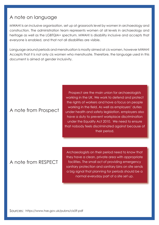#### A note on language

MWAH! Is an inclusive organisation, set up at grassroots level by women in archaeology and construction. The administration team represents women at all levels in archaeology and heritage as well as the LGBTQIA+ spectrum. MWAH! Is disability inclusive and accepts that everyone is enabled, and that not all disabilities are visible.

Language around periods and menstruation is mostly aimed at cis women, however MWAH! Accepts that it is not only cis women who menstruate. Therefore, the language used in this document is aimed at gender inclusivity.

#### A note from Prospect

Prospect are the main union for archaeologists working in the UK. We work to defend and protect the rights of workers and have a focus on people working in the field. As well as employers' duties under health and safety legislation, employers also have a duty to prevent workplace discrimination under the Equality Act 2010. We need to ensure that nobody feels discriminated against because of their period.

#### A note from RESPECT

Archaeologists on their period need to know that they have a clean, private area with appropriate facilities. The small act of providing emergency sanitary protection and sanitary bins on site sends a big signal that planning for periods should be a normal everyday part of a site set up.